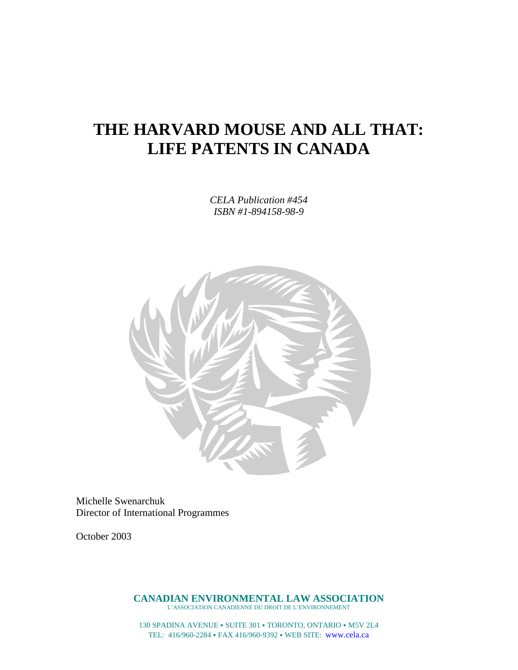# **THE HARVARD MOUSE AND ALL THAT: LIFE PATENTS IN CANADA**

*CELA Publication #454 ISBN #1-894158-98-9*



Michelle Swenarchuk Director of International Programmes

October 2003

**CANADIAN ENVIRONMENTAL LAW ASSOCIATION** L'ASSOCIATION CANADIENNE DU DROIT DE L'ENVIRONNEMENT

130 SPADINA AVENUE · SUITE 301 · TORONTO, ONTARIO · M5V 2L4 TEL: 416/960-2284 FAX 416/960-9392 WEB SITE: www.cela.ca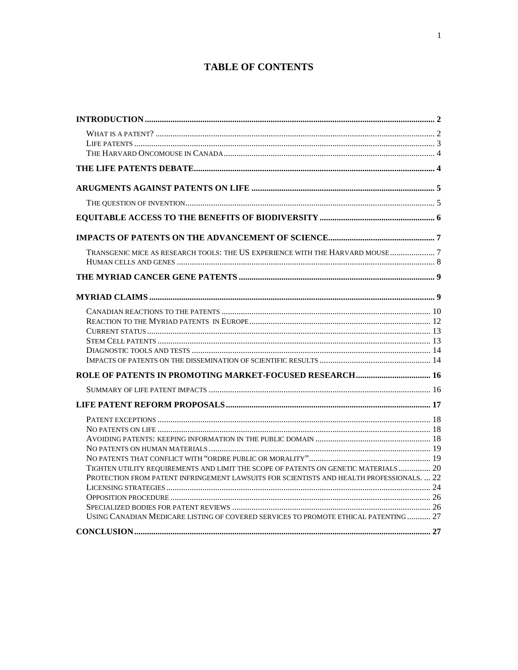# **TABLE OF CONTENTS**

| TRANSGENIC MICE AS RESEARCH TOOLS: THE US EXPERIENCE WITH THE HARVARD MOUSE  7            |  |
|-------------------------------------------------------------------------------------------|--|
|                                                                                           |  |
|                                                                                           |  |
|                                                                                           |  |
|                                                                                           |  |
|                                                                                           |  |
|                                                                                           |  |
|                                                                                           |  |
|                                                                                           |  |
|                                                                                           |  |
|                                                                                           |  |
|                                                                                           |  |
|                                                                                           |  |
|                                                                                           |  |
|                                                                                           |  |
|                                                                                           |  |
| TIGHTEN UTILITY REQUIREMENTS AND LIMIT THE SCOPE OF PATENTS ON GENETIC MATERIALS  20      |  |
| PROTECTION FROM PATENT INFRINGEMENT LAWSUITS FOR SCIENTISTS AND HEALTH PROFESSIONALS.  22 |  |
|                                                                                           |  |
|                                                                                           |  |
|                                                                                           |  |
| USING CANADIAN MEDICARE LISTING OF COVERED SERVICES TO PROMOTE ETHICAL PATENTING 27       |  |
|                                                                                           |  |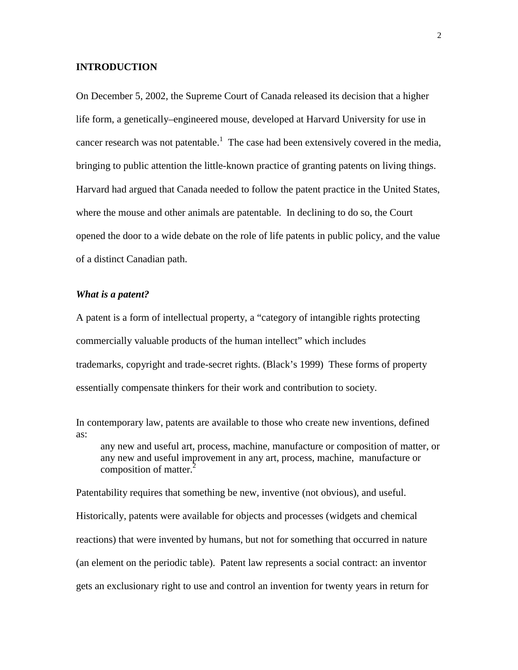#### <span id="page-2-0"></span>**INTRODUCTION**

On December 5, 2002, the Supreme Court of Canada released its decision that a higher life form, a genetically–engineered mouse, developed at Harvard University for use in cancer research was not patentable.<sup>[1](#page-32-0)</sup> The case had been extensively covered in the media, bringing to public attention the little-known practice of granting patents on living things. Harvard had argued that Canada needed to follow the patent practice in the United States, where the mouse and other animals are patentable. In declining to do so, the Court opened the door to a wide debate on the role of life patents in public policy, and the value of a distinct Canadian path.

#### *What is a patent?*

A patent is a form of intellectual property, a "category of intangible rights protecting commercially valuable products of the human intellect" which includes trademarks, copyright and trade-secret rights. (Black's 1999) These forms of property essentially compensate thinkers for their work and contribution to society.

In contemporary law, patents are available to those who create new inventions, defined as: any new and useful art, process, machine, manufacture or composition of matter, or

any new and useful improvement in any art, process, machine, manufacture or composition of matter. $<sup>2</sup>$  $<sup>2</sup>$  $<sup>2</sup>$ </sup>

Patentability requires that something be new, inventive (not obvious), and useful. Historically, patents were available for objects and processes (widgets and chemical reactions) that were invented by humans, but not for something that occurred in nature (an element on the periodic table). Patent law represents a social contract: an inventor gets an exclusionary right to use and control an invention for twenty years in return for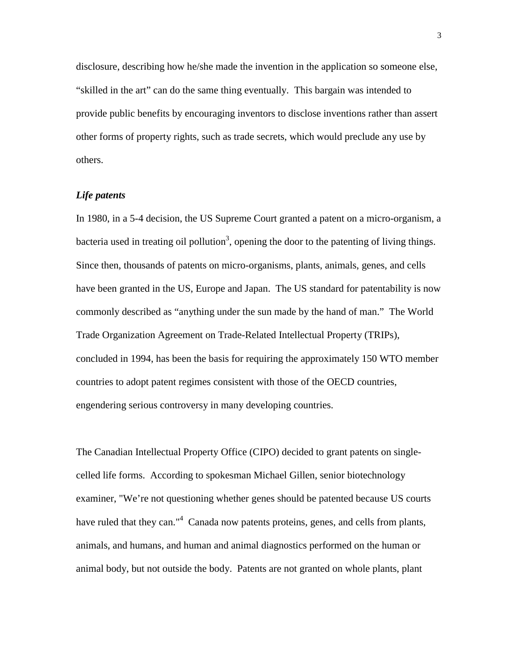<span id="page-3-0"></span>disclosure, describing how he/she made the invention in the application so someone else, "skilled in the art" can do the same thing eventually. This bargain was intended to provide public benefits by encouraging inventors to disclose inventions rather than assert other forms of property rights, such as trade secrets, which would preclude any use by others.

#### *Life patents*

In 1980, in a 5-4 decision, the US Supreme Court granted a patent on a micro-organism, a bacteria used in treating oil pollution<sup>3</sup>, opening the door to the patenting of living things. Since then, thousands of patents on micro-organisms, plants, animals, genes, and cells have been granted in the US, Europe and Japan. The US standard for patentability is now commonly described as "anything under the sun made by the hand of man." The World Trade Organization Agreement on Trade-Related Intellectual Property (TRIPs), concluded in 1994, has been the basis for requiring the approximately 150 WTO member countries to adopt patent regimes consistent with those of the OECD countries, engendering serious controversy in many developing countries.

The Canadian Intellectual Property Office (CIPO) decided to grant patents on singlecelled life forms. According to spokesman Michael Gillen, senior biotechnology examiner, "We're not questioning whether genes should be patented because US courts have ruled that they can."<sup>[4](#page-32-0)</sup> Canada now patents proteins, genes, and cells from plants, animals, and humans, and human and animal diagnostics performed on the human or animal body, but not outside the body. Patents are not granted on whole plants, plant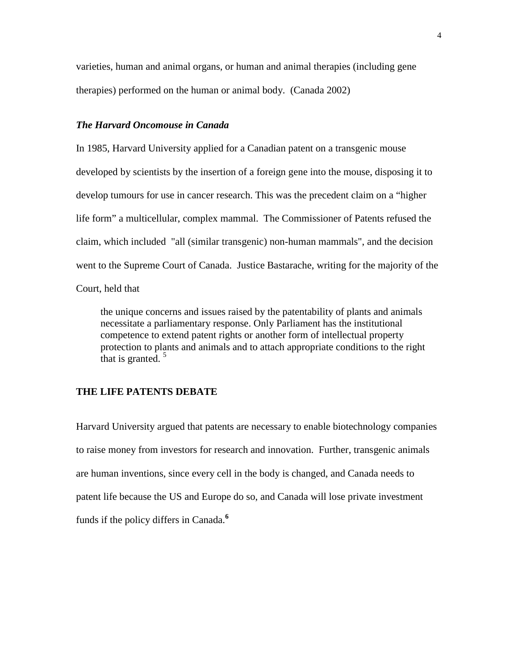<span id="page-4-0"></span>varieties, human and animal organs, or human and animal therapies (including gene therapies) performed on the human or animal body. (Canada 2002)

#### *The Harvard Oncomouse in Canada*

In 1985, Harvard University applied for a Canadian patent on a transgenic mouse developed by scientists by the insertion of a foreign gene into the mouse, disposing it to develop tumours for use in cancer research. This was the precedent claim on a "higher life form" a multicellular, complex mammal. The Commissioner of Patents refused the claim, which included "all (similar transgenic) non-human mammals", and the decision went to the Supreme Court of Canada. Justice Bastarache, writing for the majority of the Court, held that

the unique concerns and issues raised by the patentability of plants and animals necessitate a parliamentary response. Only Parliament has the institutional competence to extend patent rights or another form of intellectual property protection to plants and animals and to attach appropriate conditions to the right that is granted.<sup>[5](#page-32-0)</sup>

#### **THE LIFE PATENTS DEBATE**

Harvard University argued that patents are necessary to enable biotechnology companies to raise money from investors for research and innovation. Further, transgenic animals are human inventions, since every cell in the body is changed, and Canada needs to patent life because the US and Europe do so, and Canada will lose private investment funds if the policy differs in Canada.**[6](#page-32-0)**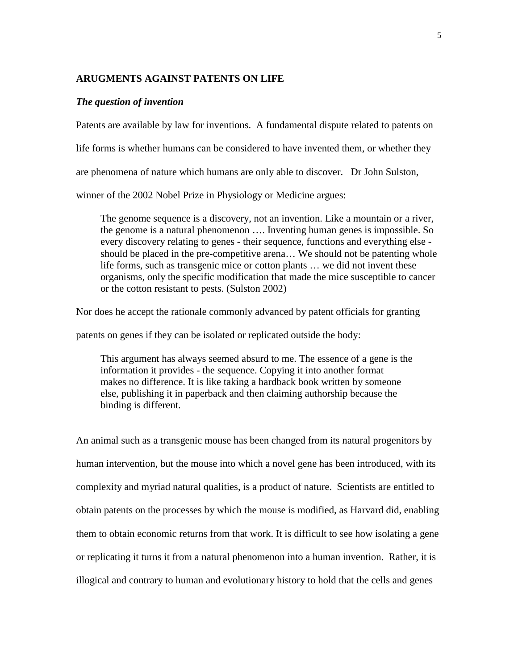#### <span id="page-5-0"></span>**ARUGMENTS AGAINST PATENTS ON LIFE**

#### *The question of invention*

Patents are available by law for inventions. A fundamental dispute related to patents on life forms is whether humans can be considered to have invented them, or whether they are phenomena of nature which humans are only able to discover. Dr John Sulston, winner of the 2002 Nobel Prize in Physiology or Medicine argues:

The genome sequence is a discovery, not an invention. Like a mountain or a river, the genome is a natural phenomenon …. Inventing human genes is impossible. So every discovery relating to genes - their sequence, functions and everything else should be placed in the pre-competitive arena… We should not be patenting whole life forms, such as transgenic mice or cotton plants … we did not invent these organisms, only the specific modification that made the mice susceptible to cancer or the cotton resistant to pests. (Sulston 2002)

Nor does he accept the rationale commonly advanced by patent officials for granting

patents on genes if they can be isolated or replicated outside the body:

This argument has always seemed absurd to me. The essence of a gene is the information it provides - the sequence. Copying it into another format makes no difference. It is like taking a hardback book written by someone else, publishing it in paperback and then claiming authorship because the binding is different.

An animal such as a transgenic mouse has been changed from its natural progenitors by human intervention, but the mouse into which a novel gene has been introduced, with its complexity and myriad natural qualities, is a product of nature. Scientists are entitled to obtain patents on the processes by which the mouse is modified, as Harvard did, enabling them to obtain economic returns from that work. It is difficult to see how isolating a gene or replicating it turns it from a natural phenomenon into a human invention. Rather, it is illogical and contrary to human and evolutionary history to hold that the cells and genes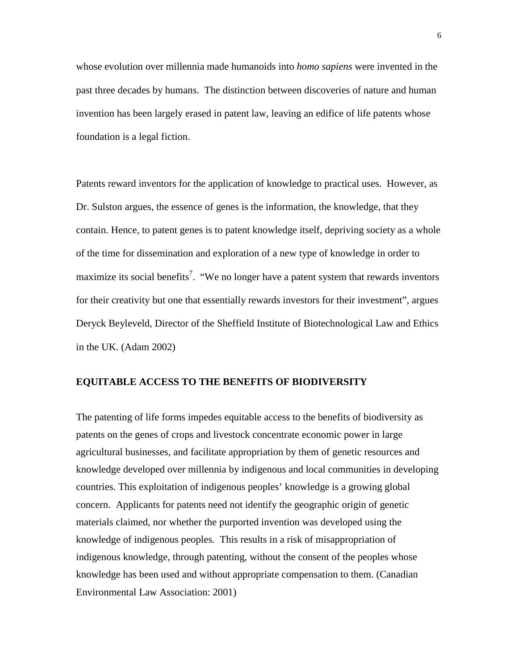<span id="page-6-0"></span>whose evolution over millennia made humanoids into *homo sapiens* were invented in the past three decades by humans. The distinction between discoveries of nature and human invention has been largely erased in patent law, leaving an edifice of life patents whose foundation is a legal fiction.

Patents reward inventors for the application of knowledge to practical uses. However, as Dr. Sulston argues, the essence of genes is the information, the knowledge, that they contain. Hence, to patent genes is to patent knowledge itself, depriving society as a whole of the time for dissemination and exploration of a new type of knowledge in order to maximize its social benefits<sup>[7](#page-32-0)</sup>. "We no longer have a patent system that rewards inventors for their creativity but one that essentially rewards investors for their investment", argues Deryck Beyleveld, Director of the Sheffield Institute of Biotechnological Law and Ethics in the UK. (Adam 2002)

#### **EQUITABLE ACCESS TO THE BENEFITS OF BIODIVERSITY**

The patenting of life forms impedes equitable access to the benefits of biodiversity as patents on the genes of crops and livestock concentrate economic power in large agricultural businesses, and facilitate appropriation by them of genetic resources and knowledge developed over millennia by indigenous and local communities in developing countries. This exploitation of indigenous peoples' knowledge is a growing global concern. Applicants for patents need not identify the geographic origin of genetic materials claimed, nor whether the purported invention was developed using the knowledge of indigenous peoples. This results in a risk of misappropriation of indigenous knowledge, through patenting, without the consent of the peoples whose knowledge has been used and without appropriate compensation to them. (Canadian Environmental Law Association: 2001)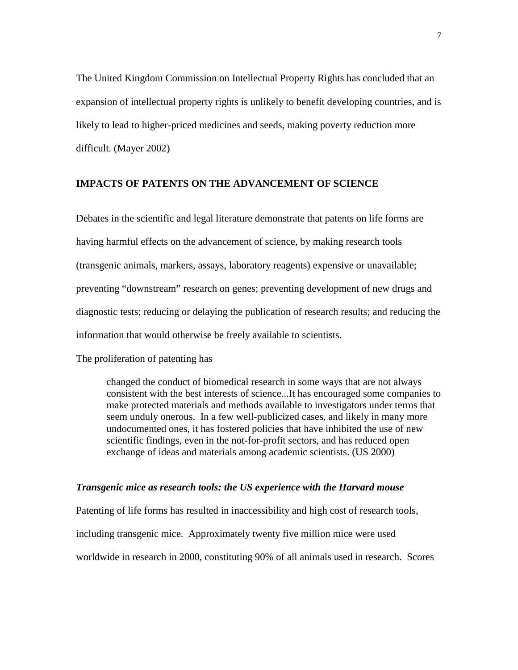<span id="page-7-0"></span>The United Kingdom Commission on Intellectual Property Rights has concluded that an expansion of intellectual property rights is unlikely to benefit developing countries, and is likely to lead to higher-priced medicines and seeds, making poverty reduction more difficult. (Mayer 2002)

## **IMPACTS OF PATENTS ON THE ADVANCEMENT OF SCIENCE**

Debates in the scientific and legal literature demonstrate that patents on life forms are having harmful effects on the advancement of science, by making research tools (transgenic animals, markers, assays, laboratory reagents) expensive or unavailable; preventing "downstream" research on genes; preventing development of new drugs and diagnostic tests; reducing or delaying the publication of research results; and reducing the information that would otherwise be freely available to scientists.

The proliferation of patenting has

changed the conduct of biomedical research in some ways that are not always consistent with the best interests of science...It has encouraged some companies to make protected materials and methods available to investigators under terms that seem unduly onerous. In a few well-publicized cases, and likely in many more undocumented ones, it has fostered policies that have inhibited the use of new scientific findings, even in the not-for-profit sectors, and has reduced open exchange of ideas and materials among academic scientists. (US 2000)

#### *Transgenic mice as research tools: the US experience with the Harvard mouse*

Patenting of life forms has resulted in inaccessibility and high cost of research tools, including transgenic mice. Approximately twenty five million mice were used worldwide in research in 2000, constituting 90% of all animals used in research. Scores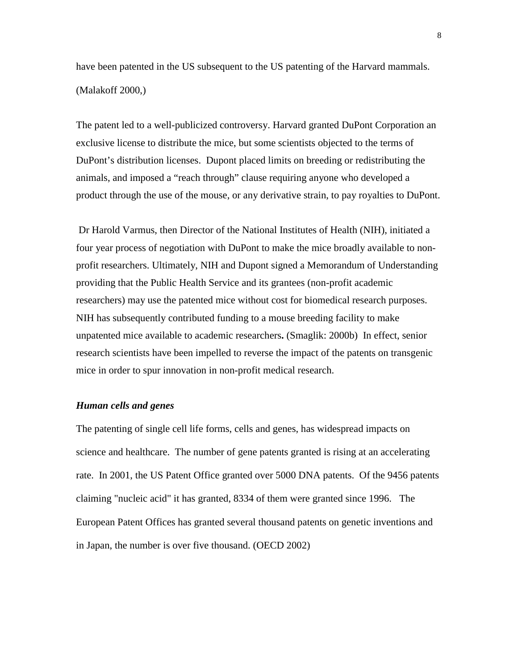<span id="page-8-0"></span>have been patented in the US subsequent to the US patenting of the Harvard mammals. (Malakoff 2000,)

The patent led to a well-publicized controversy. Harvard granted DuPont Corporation an exclusive license to distribute the mice, but some scientists objected to the terms of DuPont's distribution licenses. Dupont placed limits on breeding or redistributing the animals, and imposed a "reach through" clause requiring anyone who developed a product through the use of the mouse, or any derivative strain, to pay royalties to DuPont.

 Dr Harold Varmus, then Director of the National Institutes of Health (NIH), initiated a four year process of negotiation with DuPont to make the mice broadly available to nonprofit researchers. Ultimately, NIH and Dupont signed a Memorandum of Understanding providing that the Public Health Service and its grantees (non-profit academic researchers) may use the patented mice without cost for biomedical research purposes. NIH has subsequently contributed funding to a mouse breeding facility to make unpatented mice available to academic researchers**.** (Smaglik: 2000b) In effect, senior research scientists have been impelled to reverse the impact of the patents on transgenic mice in order to spur innovation in non-profit medical research.

#### *Human cells and genes*

The patenting of single cell life forms, cells and genes, has widespread impacts on science and healthcare. The number of gene patents granted is rising at an accelerating rate. In 2001, the US Patent Office granted over 5000 DNA patents. Of the 9456 patents claiming "nucleic acid" it has granted, 8334 of them were granted since 1996. The European Patent Offices has granted several thousand patents on genetic inventions and in Japan, the number is over five thousand. (OECD 2002)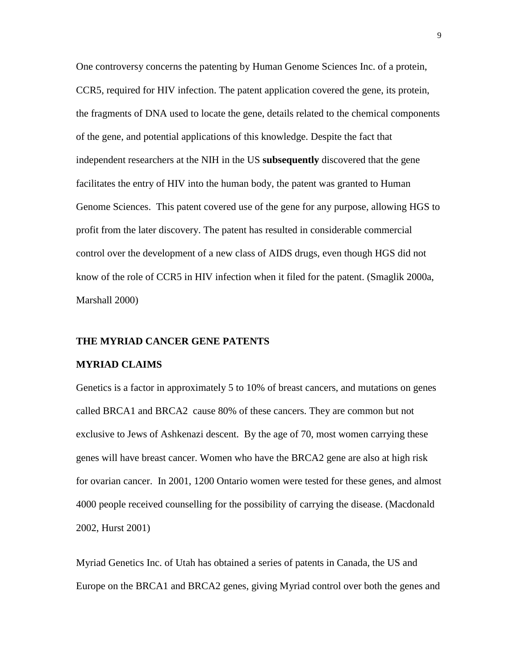<span id="page-9-0"></span>One controversy concerns the patenting by Human Genome Sciences Inc. of a protein, CCR5, required for HIV infection. The patent application covered the gene, its protein, the fragments of DNA used to locate the gene, details related to the chemical components of the gene, and potential applications of this knowledge. Despite the fact that independent researchers at the NIH in the US **subsequently** discovered that the gene facilitates the entry of HIV into the human body, the patent was granted to Human Genome Sciences. This patent covered use of the gene for any purpose, allowing HGS to profit from the later discovery. The patent has resulted in considerable commercial control over the development of a new class of AIDS drugs, even though HGS did not know of the role of CCR5 in HIV infection when it filed for the patent. (Smaglik 2000a, Marshall 2000)

#### **THE MYRIAD CANCER GENE PATENTS**

#### **MYRIAD CLAIMS**

Genetics is a factor in approximately 5 to 10% of breast cancers, and mutations on genes called BRCA1 and BRCA2 cause 80% of these cancers. They are common but not exclusive to Jews of Ashkenazi descent. By the age of 70, most women carrying these genes will have breast cancer. Women who have the BRCA2 gene are also at high risk for ovarian cancer. In 2001, 1200 Ontario women were tested for these genes, and almost 4000 people received counselling for the possibility of carrying the disease. (Macdonald 2002, Hurst 2001)

Myriad Genetics Inc. of Utah has obtained a series of patents in Canada, the US and Europe on the BRCA1 and BRCA2 genes, giving Myriad control over both the genes and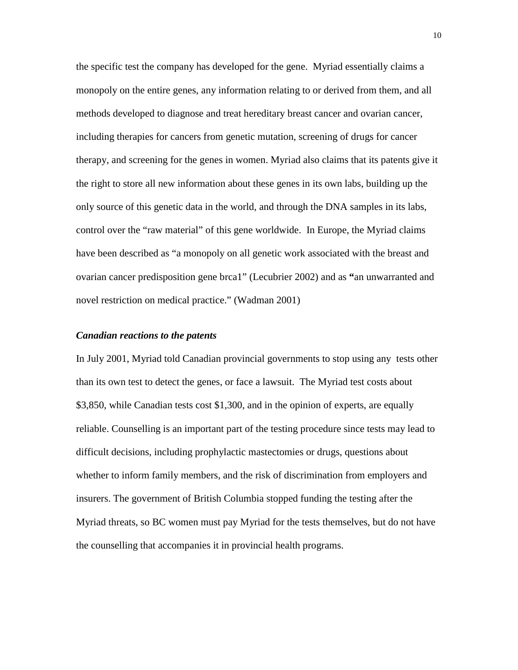<span id="page-10-0"></span>the specific test the company has developed for the gene. Myriad essentially claims a monopoly on the entire genes, any information relating to or derived from them, and all methods developed to diagnose and treat hereditary breast cancer and ovarian cancer, including therapies for cancers from genetic mutation, screening of drugs for cancer therapy, and screening for the genes in women. Myriad also claims that its patents give it the right to store all new information about these genes in its own labs, building up the only source of this genetic data in the world, and through the DNA samples in its labs, control over the "raw material" of this gene worldwide. In Europe, the Myriad claims have been described as "a monopoly on all genetic work associated with the breast and ovarian cancer predisposition gene brca1" (Lecubrier 2002) and as **"**an unwarranted and novel restriction on medical practice." (Wadman 2001)

#### *Canadian reactions to the patents*

In July 2001, Myriad told Canadian provincial governments to stop using any tests other than its own test to detect the genes, or face a lawsuit. The Myriad test costs about \$3,850, while Canadian tests cost \$1,300, and in the opinion of experts, are equally reliable. Counselling is an important part of the testing procedure since tests may lead to difficult decisions, including prophylactic mastectomies or drugs, questions about whether to inform family members, and the risk of discrimination from employers and insurers. The government of British Columbia stopped funding the testing after the Myriad threats, so BC women must pay Myriad for the tests themselves, but do not have the counselling that accompanies it in provincial health programs.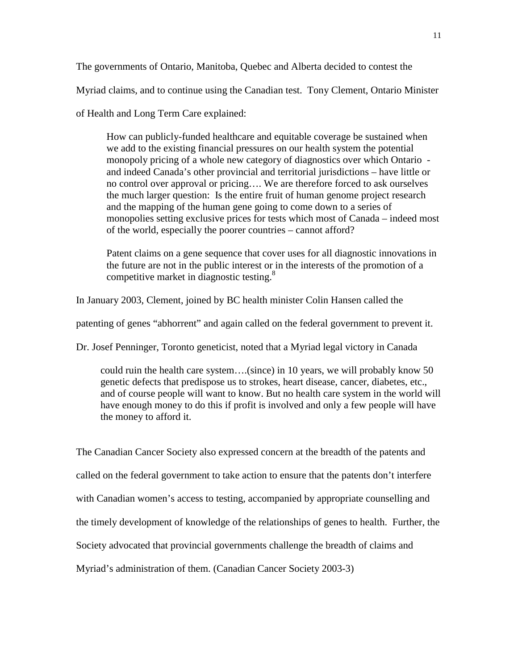The governments of Ontario, Manitoba, Quebec and Alberta decided to contest the

Myriad claims, and to continue using the Canadian test. Tony Clement, Ontario Minister

of Health and Long Term Care explained:

How can publicly-funded healthcare and equitable coverage be sustained when we add to the existing financial pressures on our health system the potential monopoly pricing of a whole new category of diagnostics over which Ontario and indeed Canada's other provincial and territorial jurisdictions – have little or no control over approval or pricing…. We are therefore forced to ask ourselves the much larger question: Is the entire fruit of human genome project research and the mapping of the human gene going to come down to a series of monopolies setting exclusive prices for tests which most of Canada – indeed most of the world, especially the poorer countries – cannot afford?

Patent claims on a gene sequence that cover uses for all diagnostic innovations in the future are not in the public interest or in the interests of the promotion of a competitive market in diagnostic testing.<sup>[8](#page-32-0)</sup>

In January 2003, Clement, joined by BC health minister Colin Hansen called the

patenting of genes "abhorrent" and again called on the federal government to prevent it.

Dr. Josef Penninger, Toronto geneticist, noted that a Myriad legal victory in Canada

could ruin the health care system….(since) in 10 years, we will probably know 50 genetic defects that predispose us to strokes, heart disease, cancer, diabetes, etc., and of course people will want to know. But no health care system in the world will have enough money to do this if profit is involved and only a few people will have the money to afford it.

The Canadian Cancer Society also expressed concern at the breadth of the patents and called on the federal government to take action to ensure that the patents don't interfere with Canadian women's access to testing, accompanied by appropriate counselling and the timely development of knowledge of the relationships of genes to health. Further, the Society advocated that provincial governments challenge the breadth of claims and Myriad's administration of them. (Canadian Cancer Society 2003-3)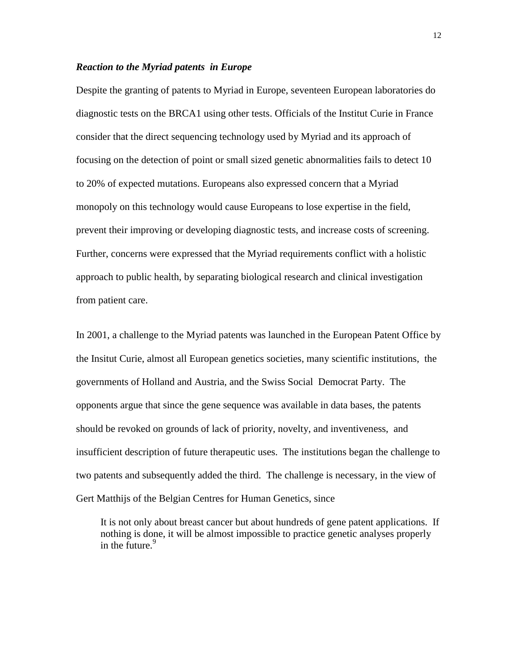#### <span id="page-12-0"></span>*Reaction to the Myriad patents in Europe*

Despite the granting of patents to Myriad in Europe, seventeen European laboratories do diagnostic tests on the BRCA1 using other tests. Officials of the Institut Curie in France consider that the direct sequencing technology used by Myriad and its approach of focusing on the detection of point or small sized genetic abnormalities fails to detect 10 to 20% of expected mutations. Europeans also expressed concern that a Myriad monopoly on this technology would cause Europeans to lose expertise in the field, prevent their improving or developing diagnostic tests, and increase costs of screening. Further, concerns were expressed that the Myriad requirements conflict with a holistic approach to public health, by separating biological research and clinical investigation from patient care.

In 2001, a challenge to the Myriad patents was launched in the European Patent Office by the Insitut Curie, almost all European genetics societies, many scientific institutions, the governments of Holland and Austria, and the Swiss Social Democrat Party. The opponents argue that since the gene sequence was available in data bases, the patents should be revoked on grounds of lack of priority, novelty, and inventiveness, and insufficient description of future therapeutic uses. The institutions began the challenge to two patents and subsequently added the third. The challenge is necessary, in the view of Gert Matthijs of the Belgian Centres for Human Genetics, since

It is not only about breast cancer but about hundreds of gene patent applications. If nothing is d[on](#page-32-0)e, it will be almost impossible to practice genetic analyses properly in the future. $9$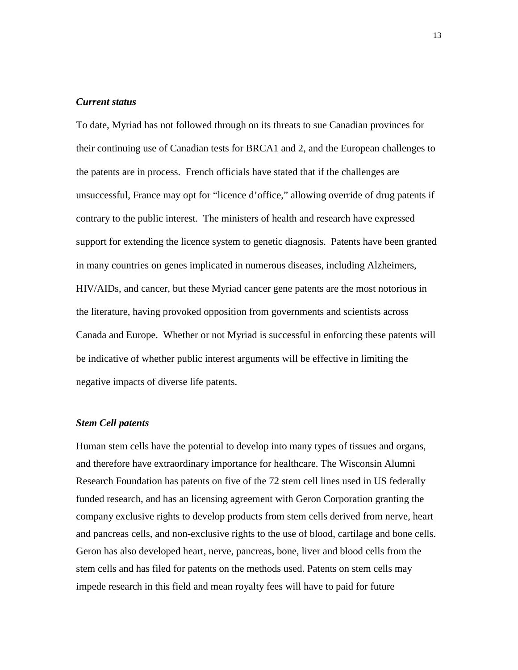#### <span id="page-13-0"></span>*Current status*

To date, Myriad has not followed through on its threats to sue Canadian provinces for their continuing use of Canadian tests for BRCA1 and 2, and the European challenges to the patents are in process. French officials have stated that if the challenges are unsuccessful, France may opt for "licence d'office," allowing override of drug patents if contrary to the public interest. The ministers of health and research have expressed support for extending the licence system to genetic diagnosis. Patents have been granted in many countries on genes implicated in numerous diseases, including Alzheimers, HIV/AIDs, and cancer, but these Myriad cancer gene patents are the most notorious in the literature, having provoked opposition from governments and scientists across Canada and Europe. Whether or not Myriad is successful in enforcing these patents will be indicative of whether public interest arguments will be effective in limiting the negative impacts of diverse life patents.

#### *Stem Cell patents*

Human stem cells have the potential to develop into many types of tissues and organs, and therefore have extraordinary importance for healthcare. The Wisconsin Alumni Research Foundation has patents on five of the 72 stem cell lines used in US federally funded research, and has an licensing agreement with Geron Corporation granting the company exclusive rights to develop products from stem cells derived from nerve, heart and pancreas cells, and non-exclusive rights to the use of blood, cartilage and bone cells. Geron has also developed heart, nerve, pancreas, bone, liver and blood cells from the stem cells and has filed for patents on the methods used. Patents on stem cells may impede research in this field and mean royalty fees will have to paid for future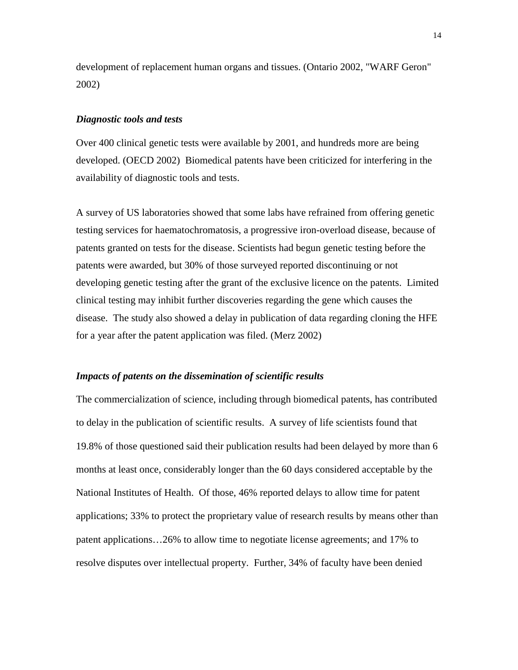<span id="page-14-0"></span>development of replacement human organs and tissues. (Ontario 2002, "WARF Geron" 2002)

#### *Diagnostic tools and tests*

Over 400 clinical genetic tests were available by 2001, and hundreds more are being developed. (OECD 2002) Biomedical patents have been criticized for interfering in the availability of diagnostic tools and tests.

A survey of US laboratories showed that some labs have refrained from offering genetic testing services for haematochromatosis, a progressive iron-overload disease, because of patents granted on tests for the disease. Scientists had begun genetic testing before the patents were awarded, but 30% of those surveyed reported discontinuing or not developing genetic testing after the grant of the exclusive licence on the patents. Limited clinical testing may inhibit further discoveries regarding the gene which causes the disease. The study also showed a delay in publication of data regarding cloning the HFE for a year after the patent application was filed. (Merz 2002)

#### *Impacts of patents on the dissemination of scientific results*

The commercialization of science, including through biomedical patents, has contributed to delay in the publication of scientific results. A survey of life scientists found that 19.8% of those questioned said their publication results had been delayed by more than 6 months at least once, considerably longer than the 60 days considered acceptable by the National Institutes of Health. Of those, 46% reported delays to allow time for patent applications; 33% to protect the proprietary value of research results by means other than patent applications…26% to allow time to negotiate license agreements; and 17% to resolve disputes over intellectual property. Further, 34% of faculty have been denied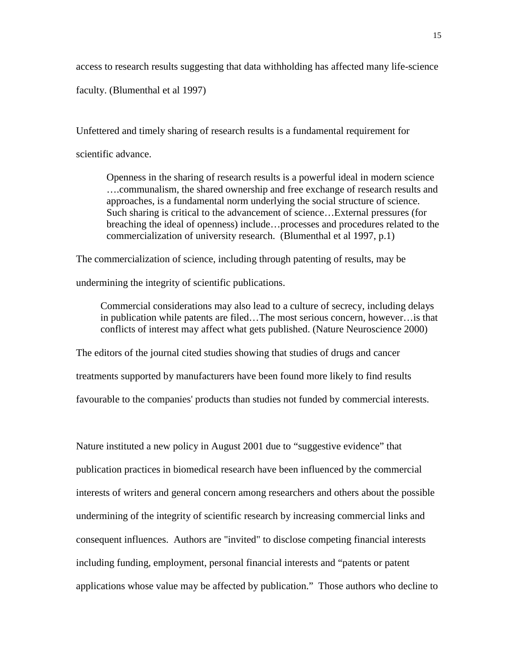access to research results suggesting that data withholding has affected many life-science

faculty. (Blumenthal et al 1997)

Unfettered and timely sharing of research results is a fundamental requirement for scientific advance.

Openness in the sharing of research results is a powerful ideal in modern science ….communalism, the shared ownership and free exchange of research results and approaches, is a fundamental norm underlying the social structure of science. Such sharing is critical to the advancement of science…External pressures (for breaching the ideal of openness) include…processes and procedures related to the commercialization of university research. (Blumenthal et al 1997, p.1)

The commercialization of science, including through patenting of results, may be

undermining the integrity of scientific publications.

Commercial considerations may also lead to a culture of secrecy, including delays in publication while patents are filed…The most serious concern, however…is that conflicts of interest may affect what gets published. (Nature Neuroscience 2000)

The editors of the journal cited studies showing that studies of drugs and cancer

treatments supported by manufacturers have been found more likely to find results

favourable to the companies' products than studies not funded by commercial interests.

Nature instituted a new policy in August 2001 due to "suggestive evidence" that publication practices in biomedical research have been influenced by the commercial interests of writers and general concern among researchers and others about the possible undermining of the integrity of scientific research by increasing commercial links and consequent influences. Authors are "invited" to disclose competing financial interests including funding, employment, personal financial interests and "patents or patent applications whose value may be affected by publication." Those authors who decline to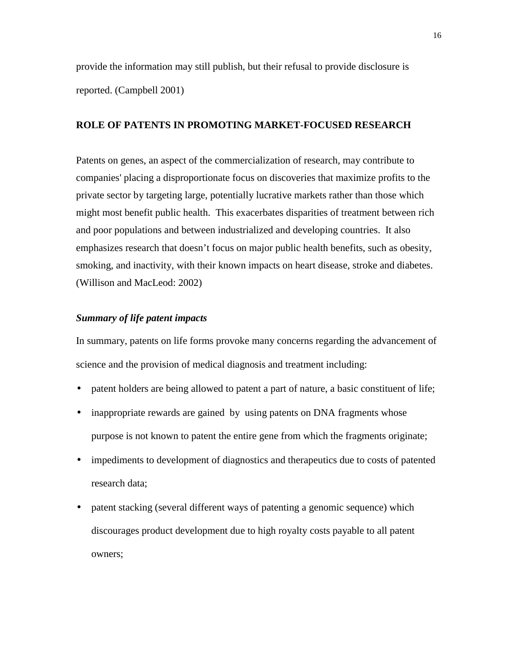<span id="page-16-0"></span>provide the information may still publish, but their refusal to provide disclosure is reported. (Campbell 2001)

# **ROLE OF PATENTS IN PROMOTING MARKET-FOCUSED RESEARCH**

Patents on genes, an aspect of the commercialization of research, may contribute to companies' placing a disproportionate focus on discoveries that maximize profits to the private sector by targeting large, potentially lucrative markets rather than those which might most benefit public health. This exacerbates disparities of treatment between rich and poor populations and between industrialized and developing countries. It also emphasizes research that doesn't focus on major public health benefits, such as obesity, smoking, and inactivity, with their known impacts on heart disease, stroke and diabetes. (Willison and MacLeod: 2002)

#### *Summary of life patent impacts*

In summary, patents on life forms provoke many concerns regarding the advancement of science and the provision of medical diagnosis and treatment including:

- patent holders are being allowed to patent a part of nature, a basic constituent of life;
- inappropriate rewards are gained by using patents on DNA fragments whose purpose is not known to patent the entire gene from which the fragments originate;
- impediments to development of diagnostics and therapeutics due to costs of patented research data;
- patent stacking (several different ways of patenting a genomic sequence) which discourages product development due to high royalty costs payable to all patent owners;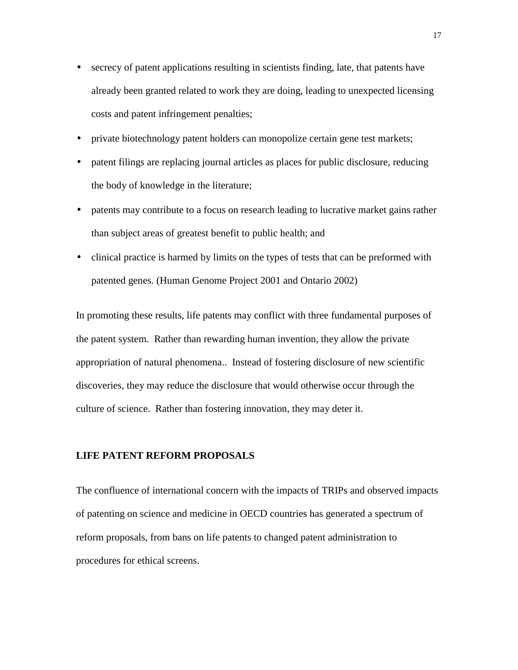- <span id="page-17-0"></span>• secrecy of patent applications resulting in scientists finding, late, that patents have already been granted related to work they are doing, leading to unexpected licensing costs and patent infringement penalties;
- private biotechnology patent holders can monopolize certain gene test markets;
- patent filings are replacing journal articles as places for public disclosure, reducing the body of knowledge in the literature;
- patents may contribute to a focus on research leading to lucrative market gains rather than subject areas of greatest benefit to public health; and
- clinical practice is harmed by limits on the types of tests that can be preformed with patented genes. (Human Genome Project 2001 and Ontario 2002)

In promoting these results, life patents may conflict with three fundamental purposes of the patent system. Rather than rewarding human invention, they allow the private appropriation of natural phenomena.. Instead of fostering disclosure of new scientific discoveries, they may reduce the disclosure that would otherwise occur through the culture of science. Rather than fostering innovation, they may deter it.

## **LIFE PATENT REFORM PROPOSALS**

The confluence of international concern with the impacts of TRIPs and observed impacts of patenting on science and medicine in OECD countries has generated a spectrum of reform proposals, from bans on life patents to changed patent administration to procedures for ethical screens.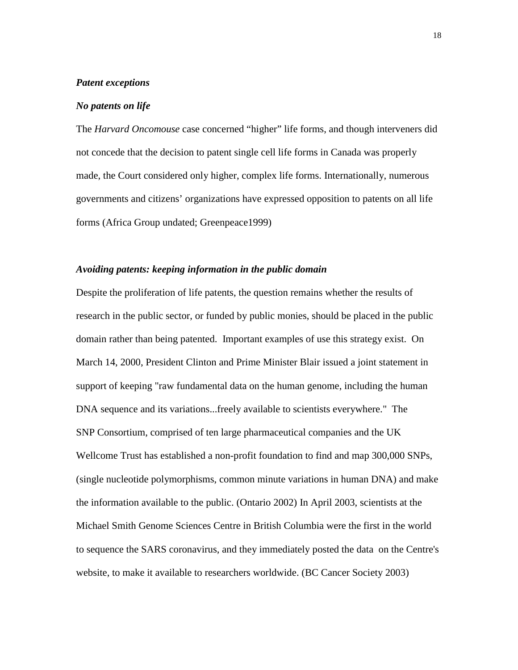#### <span id="page-18-0"></span>*Patent exceptions*

#### *No patents on life*

The *Harvard Oncomouse* case concerned "higher" life forms, and though interveners did not concede that the decision to patent single cell life forms in Canada was properly made, the Court considered only higher, complex life forms. Internationally, numerous governments and citizens' organizations have expressed opposition to patents on all life forms (Africa Group undated; Greenpeace1999)

#### *Avoiding patents: keeping information in the public domain*

Despite the proliferation of life patents, the question remains whether the results of research in the public sector, or funded by public monies, should be placed in the public domain rather than being patented. Important examples of use this strategy exist. On March 14, 2000, President Clinton and Prime Minister Blair issued a joint statement in support of keeping "raw fundamental data on the human genome, including the human DNA sequence and its variations...freely available to scientists everywhere." The SNP Consortium, comprised of ten large pharmaceutical companies and the UK Wellcome Trust has established a non-profit foundation to find and map 300,000 SNPs, (single nucleotide polymorphisms, common minute variations in human DNA) and make the information available to the public. (Ontario 2002) In April 2003, scientists at the Michael Smith Genome Sciences Centre in British Columbia were the first in the world to sequence the SARS coronavirus, and they immediately posted the data on the Centre's website, to make it available to researchers worldwide. (BC Cancer Society 2003)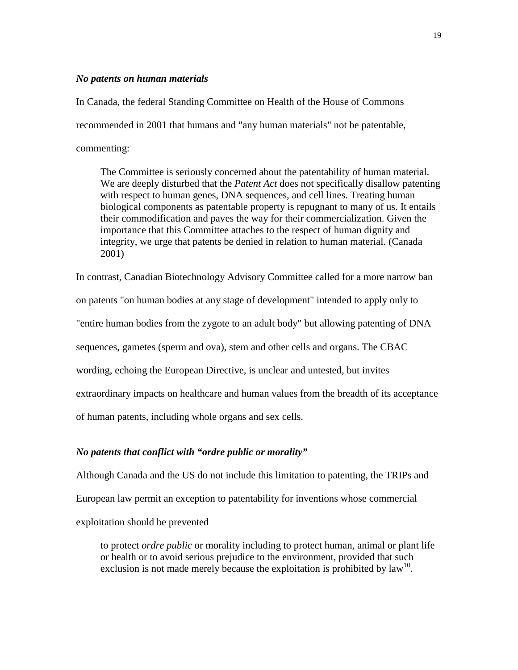#### <span id="page-19-0"></span>*No patents on human materials*

In Canada, the federal Standing Committee on Health of the House of Commons recommended in 2001 that humans and "any human materials" not be patentable, commenting:

The Committee is seriously concerned about the patentability of human material. We are deeply disturbed that the *Patent Act* does not specifically disallow patenting with respect to human genes, DNA sequences, and cell lines. Treating human biological components as patentable property is repugnant to many of us. It entails their commodification and paves the way for their commercialization. Given the importance that this Committee attaches to the respect of human dignity and integrity, we urge that patents be denied in relation to human material. (Canada 2001)

In contrast, Canadian Biotechnology Advisory Committee called for a more narrow ban on patents "on human bodies at any stage of development" intended to apply only to "entire human bodies from the zygote to an adult body" but allowing patenting of DNA sequences, gametes (sperm and ova), stem and other cells and organs. The CBAC wording, echoing the European Directive, is unclear and untested, but invites extraordinary impacts on healthcare and human values from the breadth of its acceptance of human patents, including whole organs and sex cells.

#### *No patents that conflict with "ordre public or morality"*

Although Canada and the US do not include this limitation to patenting, the TRIPs and European law permit an exception to patentability for inventions whose commercial exploitation should be prevented

to protect *ordre public* or morality including to protect human, animal or plant life or health or to avoid serious prejudice to the environment, provided that such exclusion is not made merely because the exploitation is prohibited by  $law^{10}$ .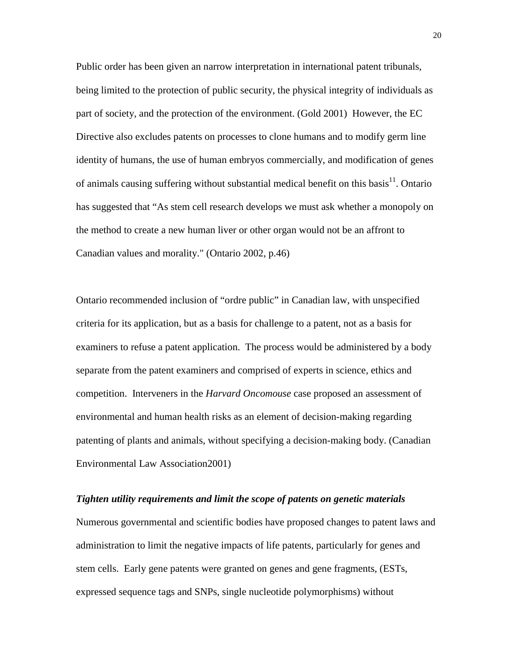<span id="page-20-0"></span>Public order has been given an narrow interpretation in international patent tribunals, being limited to the protection of public security, the physical integrity of individuals as part of society, and the protection of the environment. (Gold 2001) However, the EC Directive also excludes patents on processes to clone humans and to modify germ line identity of humans, the use of human embryos commercially, and modification of genes of animals causing suffering without substantial medical benefit on this basis $^{11}$ . Ontario has suggested that "As stem cell research develops we must ask whether a monopoly on the method to create a new human liver or other organ would not be an affront to Canadian values and morality." (Ontario 2002, p.46)

Ontario recommended inclusion of "ordre public" in Canadian law, with unspecified criteria for its application, but as a basis for challenge to a patent, not as a basis for examiners to refuse a patent application. The process would be administered by a body separate from the patent examiners and comprised of experts in science, ethics and competition. Interveners in the *Harvard Oncomouse* case proposed an assessment of environmental and human health risks as an element of decision-making regarding patenting of plants and animals, without specifying a decision-making body. (Canadian Environmental Law Association2001)

#### *Tighten utility requirements and limit the scope of patents on genetic materials*

Numerous governmental and scientific bodies have proposed changes to patent laws and administration to limit the negative impacts of life patents, particularly for genes and stem cells. Early gene patents were granted on genes and gene fragments, (ESTs, expressed sequence tags and SNPs, single nucleotide polymorphisms) without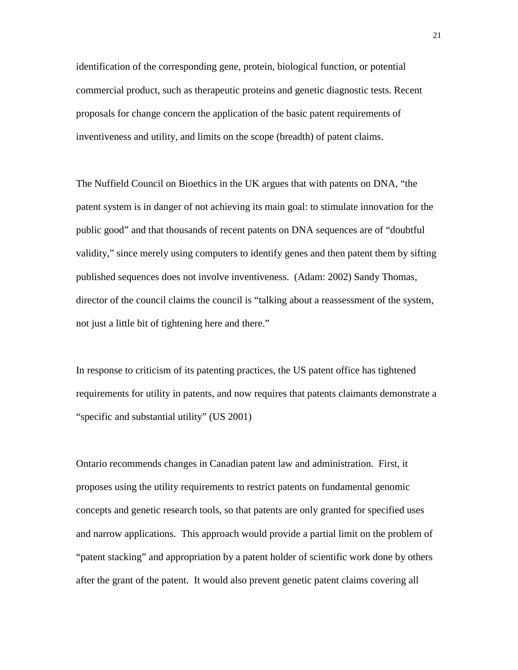identification of the corresponding gene, protein, biological function, or potential commercial product, such as therapeutic proteins and genetic diagnostic tests. Recent proposals for change concern the application of the basic patent requirements of inventiveness and utility, and limits on the scope (breadth) of patent claims.

The Nuffield Council on Bioethics in the UK argues that with patents on DNA, "the patent system is in danger of not achieving its main goal: to stimulate innovation for the public good" and that thousands of recent patents on DNA sequences are of "doubtful validity," since merely using computers to identify genes and then patent them by sifting published sequences does not involve inventiveness. (Adam: 2002) Sandy Thomas, director of the council claims the council is "talking about a reassessment of the system, not just a little bit of tightening here and there."

In response to criticism of its patenting practices, the US patent office has tightened requirements for utility in patents, and now requires that patents claimants demonstrate a "specific and substantial utility" (US 2001)

Ontario recommends changes in Canadian patent law and administration. First, it proposes using the utility requirements to restrict patents on fundamental genomic concepts and genetic research tools, so that patents are only granted for specified uses and narrow applications. This approach would provide a partial limit on the problem of "patent stacking" and appropriation by a patent holder of scientific work done by others after the grant of the patent. It would also prevent genetic patent claims covering all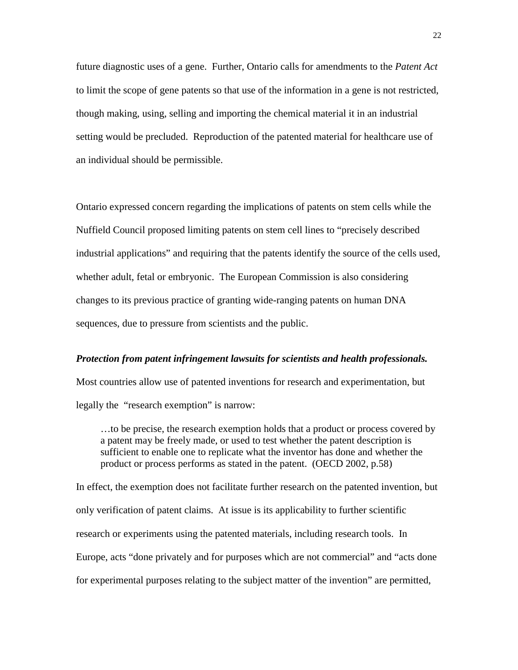<span id="page-22-0"></span>future diagnostic uses of a gene. Further, Ontario calls for amendments to the *Patent Act* to limit the scope of gene patents so that use of the information in a gene is not restricted, though making, using, selling and importing the chemical material it in an industrial setting would be precluded. Reproduction of the patented material for healthcare use of an individual should be permissible.

Ontario expressed concern regarding the implications of patents on stem cells while the Nuffield Council proposed limiting patents on stem cell lines to "precisely described industrial applications" and requiring that the patents identify the source of the cells used, whether adult, fetal or embryonic. The European Commission is also considering changes to its previous practice of granting wide-ranging patents on human DNA sequences, due to pressure from scientists and the public.

#### *Protection from patent infringement lawsuits for scientists and health professionals.*

Most countries allow use of patented inventions for research and experimentation, but legally the "research exemption" is narrow:

…to be precise, the research exemption holds that a product or process covered by a patent may be freely made, or used to test whether the patent description is sufficient to enable one to replicate what the inventor has done and whether the product or process performs as stated in the patent. (OECD 2002, p.58)

In effect, the exemption does not facilitate further research on the patented invention, but only verification of patent claims. At issue is its applicability to further scientific research or experiments using the patented materials, including research tools. In Europe, acts "done privately and for purposes which are not commercial" and "acts done for experimental purposes relating to the subject matter of the invention" are permitted,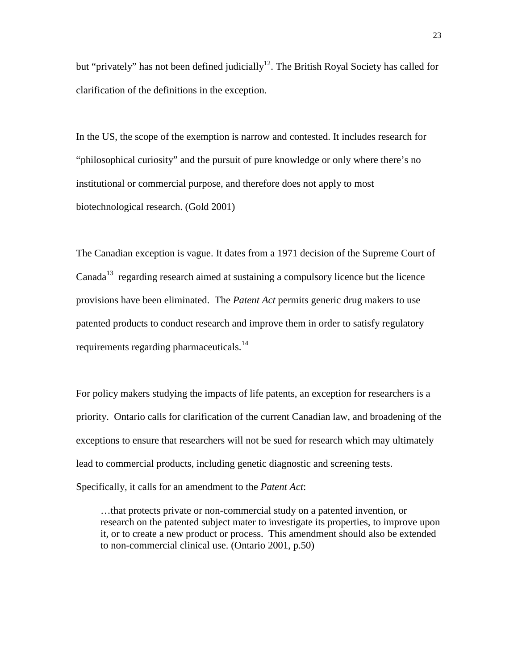but "privately" has not been defined judicially<sup>12</sup>. The British Royal Society has called for clarification of the definitions in the exception.

In the US, the scope of the exemption is narrow and contested. It includes research for "philosophical curiosity" and the pursuit of pure knowledge or only where there's no institutional or commercial purpose, and therefore does not apply to most biotechnological research. (Gold 2001)

The Canadian exception is vague. It dates from a 1971 decision of the Supreme Court of Canada<sup>13</sup> regarding research aimed at sustaining a compulsory licence but the licence provisions have been eliminated. The *Patent Act* permits generic drug makers to use patented products to conduct research and improve them in order to satisfy regulatory requirements regarding pharmaceuticals.<sup>[14](#page-32-0)</sup>

For policy makers studying the impacts of life patents, an exception for researchers is a priority. Ontario calls for clarification of the current Canadian law, and broadening of the exceptions to ensure that researchers will not be sued for research which may ultimately lead to commercial products, including genetic diagnostic and screening tests. Specifically, it calls for an amendment to the *Patent Act*:

…that protects private or non-commercial study on a patented invention, or research on the patented subject mater to investigate its properties, to improve upon it, or to create a new product or process. This amendment should also be extended to non-commercial clinical use. (Ontario 2001, p.50)

23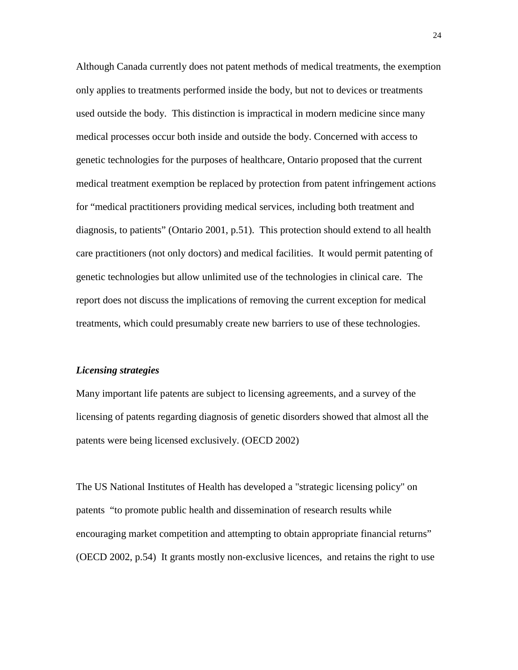<span id="page-24-0"></span>Although Canada currently does not patent methods of medical treatments, the exemption only applies to treatments performed inside the body, but not to devices or treatments used outside the body. This distinction is impractical in modern medicine since many medical processes occur both inside and outside the body. Concerned with access to genetic technologies for the purposes of healthcare, Ontario proposed that the current medical treatment exemption be replaced by protection from patent infringement actions for "medical practitioners providing medical services, including both treatment and diagnosis, to patients" (Ontario 2001, p.51). This protection should extend to all health care practitioners (not only doctors) and medical facilities. It would permit patenting of genetic technologies but allow unlimited use of the technologies in clinical care. The report does not discuss the implications of removing the current exception for medical treatments, which could presumably create new barriers to use of these technologies.

#### *Licensing strategies*

Many important life patents are subject to licensing agreements, and a survey of the licensing of patents regarding diagnosis of genetic disorders showed that almost all the patents were being licensed exclusively. (OECD 2002)

The US National Institutes of Health has developed a "strategic licensing policy" on patents "to promote public health and dissemination of research results while encouraging market competition and attempting to obtain appropriate financial returns" (OECD 2002, p.54) It grants mostly non-exclusive licences, and retains the right to use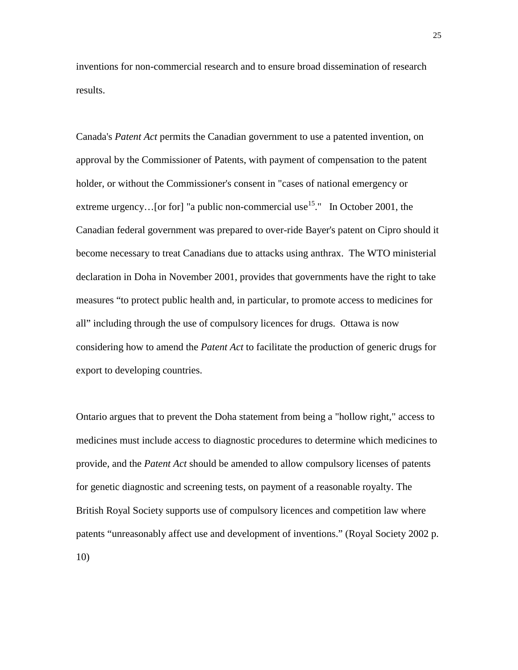inventions for non-commercial research and to ensure broad dissemination of research results.

Canada's *Patent Act* permits the Canadian government to use a patented invention, on approval by the Commissioner of Patents, with payment of compensation to the patent holder, or without the Commissioner's consent in "cases of national emergency or extreme urgency... [or for] "a public non-commercial use<sup>15</sup>." In October 2001, the Canadian federal government was prepared to over-ride Bayer's patent on Cipro should it become necessary to treat Canadians due to attacks using anthrax. The WTO ministerial declaration in Doha in November 2001, provides that governments have the right to take measures "to protect public health and, in particular, to promote access to medicines for all" including through the use of compulsory licences for drugs. Ottawa is now considering how to amend the *Patent Act* to facilitate the production of generic drugs for export to developing countries.

Ontario argues that to prevent the Doha statement from being a "hollow right," access to medicines must include access to diagnostic procedures to determine which medicines to provide, and the *Patent Act* should be amended to allow compulsory licenses of patents for genetic diagnostic and screening tests, on payment of a reasonable royalty. The British Royal Society supports use of compulsory licences and competition law where patents "unreasonably affect use and development of inventions." (Royal Society 2002 p. 10)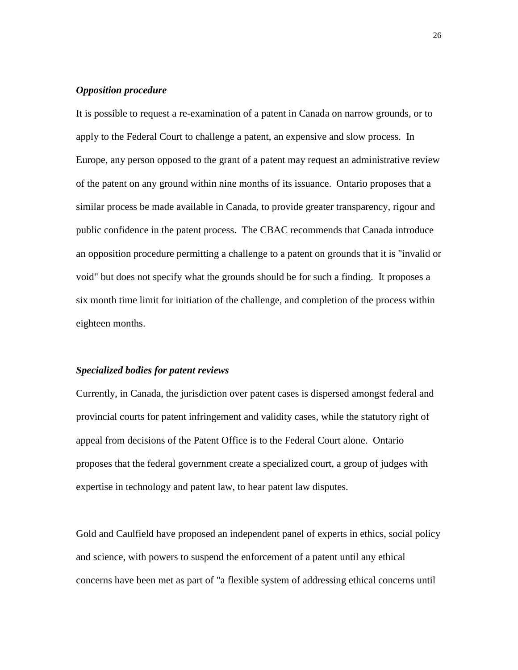#### <span id="page-26-0"></span>*Opposition procedure*

It is possible to request a re-examination of a patent in Canada on narrow grounds, or to apply to the Federal Court to challenge a patent, an expensive and slow process. In Europe, any person opposed to the grant of a patent may request an administrative review of the patent on any ground within nine months of its issuance. Ontario proposes that a similar process be made available in Canada, to provide greater transparency, rigour and public confidence in the patent process. The CBAC recommends that Canada introduce an opposition procedure permitting a challenge to a patent on grounds that it is "invalid or void" but does not specify what the grounds should be for such a finding. It proposes a six month time limit for initiation of the challenge, and completion of the process within eighteen months.

#### *Specialized bodies for patent reviews*

Currently, in Canada, the jurisdiction over patent cases is dispersed amongst federal and provincial courts for patent infringement and validity cases, while the statutory right of appeal from decisions of the Patent Office is to the Federal Court alone. Ontario proposes that the federal government create a specialized court, a group of judges with expertise in technology and patent law, to hear patent law disputes.

Gold and Caulfield have proposed an independent panel of experts in ethics, social policy and science, with powers to suspend the enforcement of a patent until any ethical concerns have been met as part of "a flexible system of addressing ethical concerns until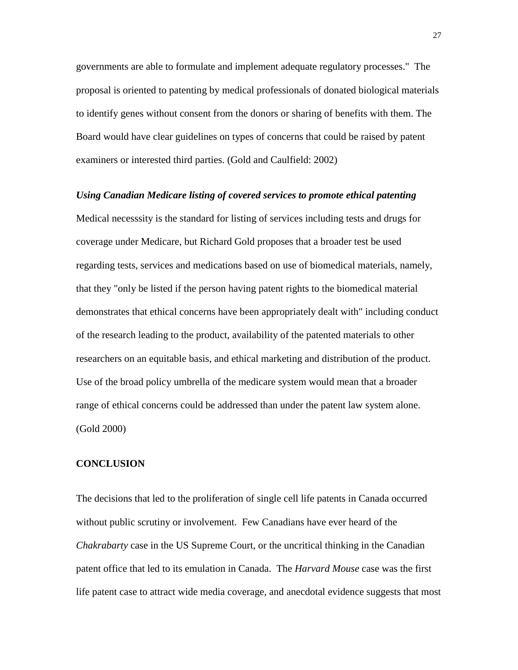<span id="page-27-0"></span>governments are able to formulate and implement adequate regulatory processes." The proposal is oriented to patenting by medical professionals of donated biological materials to identify genes without consent from the donors or sharing of benefits with them. The Board would have clear guidelines on types of concerns that could be raised by patent examiners or interested third parties. (Gold and Caulfield: 2002)

#### *Using Canadian Medicare listing of covered services to promote ethical patenting*

Medical necesssity is the standard for listing of services including tests and drugs for coverage under Medicare, but Richard Gold proposes that a broader test be used regarding tests, services and medications based on use of biomedical materials, namely, that they "only be listed if the person having patent rights to the biomedical material demonstrates that ethical concerns have been appropriately dealt with" including conduct of the research leading to the product, availability of the patented materials to other researchers on an equitable basis, and ethical marketing and distribution of the product. Use of the broad policy umbrella of the medicare system would mean that a broader range of ethical concerns could be addressed than under the patent law system alone. (Gold 2000)

#### **CONCLUSION**

The decisions that led to the proliferation of single cell life patents in Canada occurred without public scrutiny or involvement. Few Canadians have ever heard of the *Chakrabarty* case in the US Supreme Court, or the uncritical thinking in the Canadian patent office that led to its emulation in Canada. The *Harvard Mouse* case was the first life patent case to attract wide media coverage, and anecdotal evidence suggests that most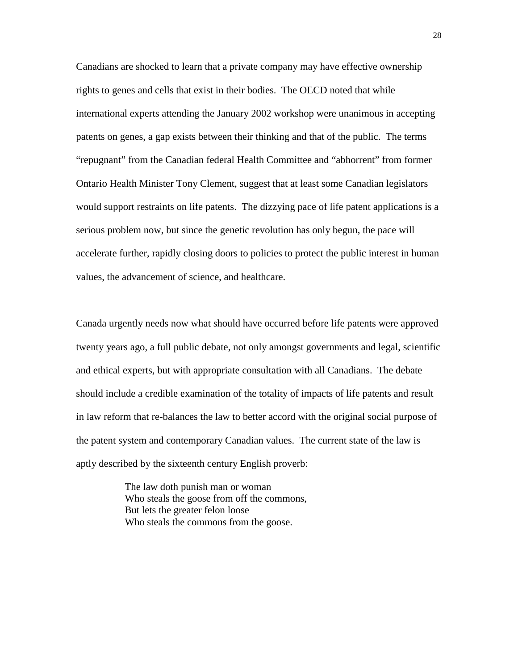Canadians are shocked to learn that a private company may have effective ownership rights to genes and cells that exist in their bodies. The OECD noted that while international experts attending the January 2002 workshop were unanimous in accepting patents on genes, a gap exists between their thinking and that of the public. The terms "repugnant" from the Canadian federal Health Committee and "abhorrent" from former Ontario Health Minister Tony Clement, suggest that at least some Canadian legislators would support restraints on life patents. The dizzying pace of life patent applications is a serious problem now, but since the genetic revolution has only begun, the pace will accelerate further, rapidly closing doors to policies to protect the public interest in human values, the advancement of science, and healthcare.

Canada urgently needs now what should have occurred before life patents were approved twenty years ago, a full public debate, not only amongst governments and legal, scientific and ethical experts, but with appropriate consultation with all Canadians. The debate should include a credible examination of the totality of impacts of life patents and result in law reform that re-balances the law to better accord with the original social purpose of the patent system and contemporary Canadian values. The current state of the law is aptly described by the sixteenth century English proverb:

> The law doth punish man or woman Who steals the goose from off the commons, But lets the greater felon loose Who steals the commons from the goose.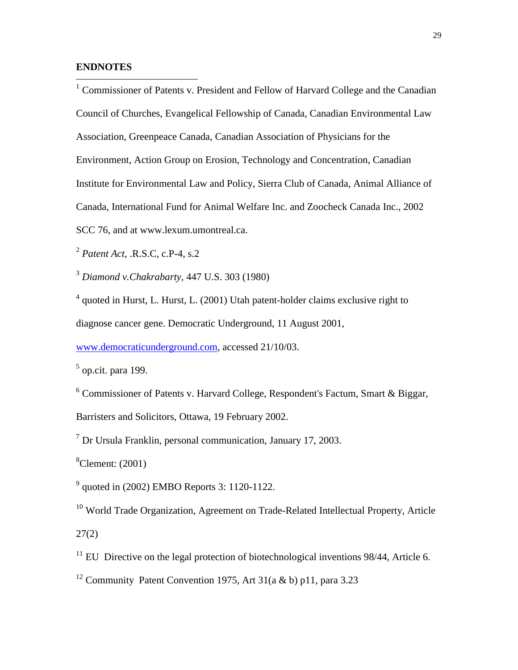#### **ENDNOTES**

<sup>1</sup> Commissioner of Patents v. President and Fellow of Harvard College and the Canadian Council of Churches, Evangelical Fellowship of Canada, Canadian Environmental Law Association, Greenpeace Canada, Canadian Association of Physicians for the Environment, Action Group on Erosion, Technology and Concentration, Canadian Institute for Environmental Law and Policy, Sierra Club of Canada, Animal Alliance of Canada, International Fund for Animal Welfare Inc. and Zoocheck Canada Inc., 2002 SCC 76, and at www.lexum.umontreal.ca.

<sup>2</sup> *Patent Act*, .R.S.C, c.P-4, s.2

<sup>3</sup> *Diamond v.Chakrabarty*, 447 U.S. 303 (1980)

<sup>4</sup> quoted in Hurst, L. Hurst, L. (2001) Utah patent-holder claims exclusive right to diagnose cancer gene. Democratic Underground, 11 August 2001,

www.democraticunderground.com, accessed 21/10/03.

 $<sup>5</sup>$  op.cit. para 199.</sup>

<sup>6</sup> Commissioner of Patents v. Harvard College, Respondent's Factum, Smart & Biggar, Barristers and Solicitors, Ottawa, 19 February 2002.

<sup>7</sup> Dr Ursula Franklin, personal communication, January 17, 2003.

 ${}^8$ Clement: (2001)

 $^{9}$  quoted in (2002) EMBO Reports 3: 1120-1122.

<sup>10</sup> World Trade Organization, Agreement on Trade-Related Intellectual Property, Article 27(2)

 $11$  EU Directive on the legal protection of biotechnological inventions 98/44, Article 6.

<sup>12</sup> Community Patent Convention 1975, Art 31(a & b) p11, para 3.23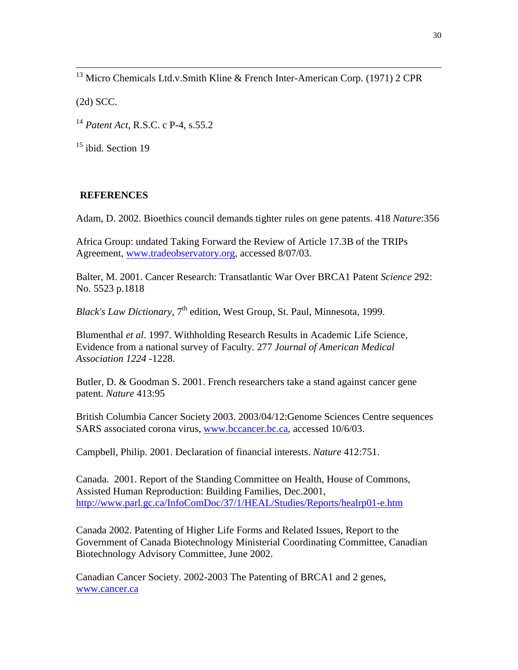<sup>13</sup> Micro Chemicals Ltd.v.Smith Kline & French Inter-American Corp. (1971) 2 CPR

(2d) SCC.

<sup>14</sup> *Patent Act*, R.S.C. c P-4, s.55.2

 $15$  ibid. Section 19

# **REFERENCES**

Adam, D. 2002. Bioethics council demands tighter rules on gene patents. 418 *Nature*:356

Africa Group: undated Taking Forward the Review of Article 17.3B of the TRIPs Agreement, www.tradeobservatory.org, accessed 8/07/03.

Balter, M. 2001. Cancer Research: Transatlantic War Over BRCA1 Patent *Science* 292: No. 5523 p.1818

*Black's Law Dictionary*,  $7<sup>th</sup>$  edition, West Group, St. Paul, Minnesota, 1999.

Blumenthal *et al*. 1997. Withholding Research Results in Academic Life Science, Evidence from a national survey of Faculty. 277 *Journal of American Medical Association 1224* -1228.

Butler, D. & Goodman S. 2001. French researchers take a stand against cancer gene patent. *Nature* 413:95

British Columbia Cancer Society 2003. 2003/04/12:Genome Sciences Centre sequences SARS associated corona virus, www.bccancer.bc.ca, accessed 10/6/03.

Campbell, Philip. 2001. Declaration of financial interests. *Nature* 412:751.

Canada. 2001. Report of the Standing Committee on Health, House of Commons, Assisted Human Reproduction: Building Families, Dec.2001, http://www.parl.gc.ca/InfoComDoc/37/1/HEAL/Studies/Reports/healrp01-e.htm

Canada 2002. Patenting of Higher Life Forms and Related Issues, Report to the Government of Canada Biotechnology Ministerial Coordinating Committee, Canadian Biotechnology Advisory Committee, June 2002.

Canadian Cancer Society. 2002-2003 The Patenting of BRCA1 and 2 genes, www.cancer.ca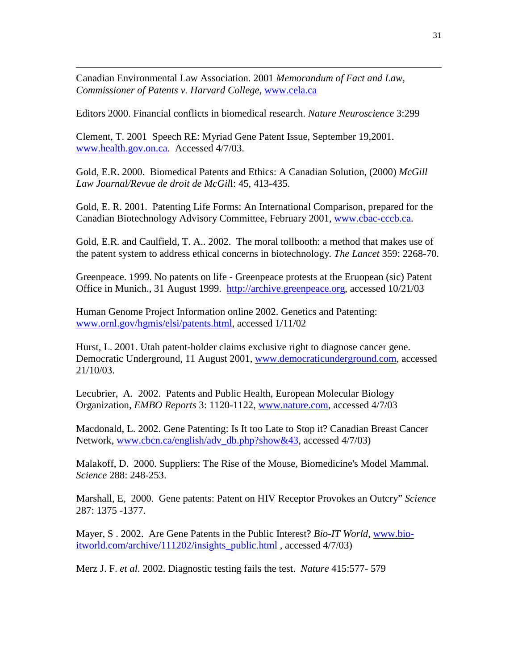Canadian Environmental Law Association. 2001 *Memorandum of Fact and Law, Commissioner of Patents v. Harvard College*, www.cela.ca

 $\overline{a}$ 

Editors 2000. Financial conflicts in biomedical research. *Nature Neuroscience* 3:299

Clement, T. 2001 Speech RE: Myriad Gene Patent Issue, September 19,2001. www.health.gov.on.ca. Accessed 4/7/03.

Gold, E.R. 2000. Biomedical Patents and Ethics: A Canadian Solution, (2000) *McGill Law Journal/Revue de droit de McGil*l: 45, 413-435.

Gold, E. R. 2001. Patenting Life Forms: An International Comparison, prepared for the Canadian Biotechnology Advisory Committee, February 2001, www.cbac-cccb.ca.

Gold, E.R. and Caulfield, T. A.. 2002. The moral tollbooth: a method that makes use of the patent system to address ethical concerns in biotechnology*. The Lancet* 359: 2268-70.

Greenpeace. 1999. No patents on life - Greenpeace protests at the Eruopean (sic) Patent Office in Munich., 31 August 1999. http://archive.greenpeace.org, accessed 10/21/03

Human Genome Project Information online 2002. Genetics and Patenting: www.ornl.gov/hgmis/elsi/patents.html, accessed 1/11/02

Hurst, L. 2001. Utah patent-holder claims exclusive right to diagnose cancer gene. Democratic Underground, 11 August 2001, www.democraticunderground.com, accessed 21/10/03.

Lecubrier, A. 2002. Patents and Public Health, European Molecular Biology Organization, *EMBO Reports* 3: 1120-1122, www.nature.com, accessed 4/7/03

Macdonald, L. 2002. Gene Patenting: Is It too Late to Stop it? Canadian Breast Cancer Network, www.cbcn.ca/english/adv\_db.php?show&43, accessed 4/7/03)

Malakoff, D. 2000. Suppliers: The Rise of the Mouse, Biomedicine's Model Mammal. *Science* 288: 248-253.

Marshall, E, 2000. Gene patents: Patent on HIV Receptor Provokes an Outcry" *Science* 287: 1375 -1377.

Mayer, S . 2002. Are Gene Patents in the Public Interest? *Bio-IT World*, www.bioitworld.com/archive/111202/insights\_public.html , accessed 4/7/03)

Merz J. F. *et al*. 2002. Diagnostic testing fails the test. *Nature* 415:577- 579